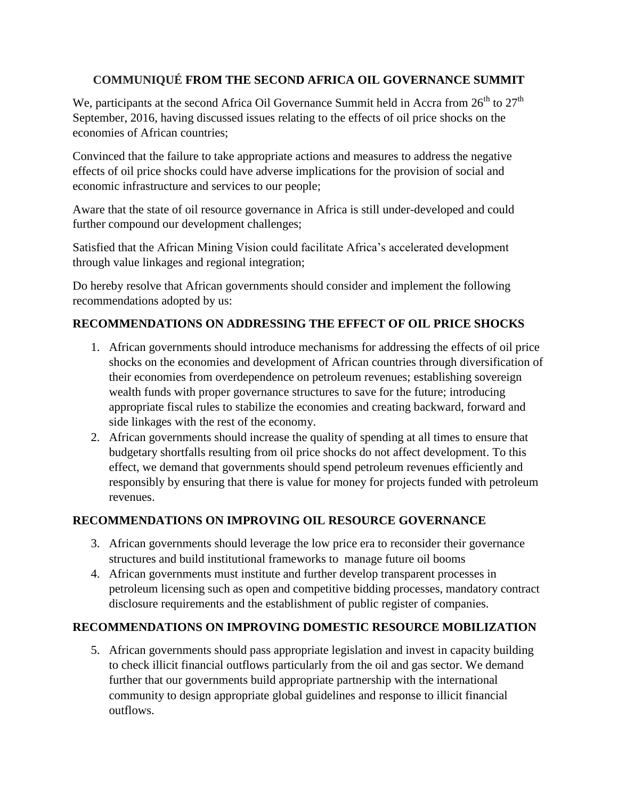# **COMMUNIQUÉ FROM THE SECOND AFRICA OIL GOVERNANCE SUMMIT**

We, participants at the second Africa Oil Governance Summit held in Accra from  $26<sup>th</sup>$  to  $27<sup>th</sup>$ September, 2016, having discussed issues relating to the effects of oil price shocks on the economies of African countries;

Convinced that the failure to take appropriate actions and measures to address the negative effects of oil price shocks could have adverse implications for the provision of social and economic infrastructure and services to our people;

Aware that the state of oil resource governance in Africa is still under-developed and could further compound our development challenges;

Satisfied that the African Mining Vision could facilitate Africa's accelerated development through value linkages and regional integration;

Do hereby resolve that African governments should consider and implement the following recommendations adopted by us:

# **RECOMMENDATIONS ON ADDRESSING THE EFFECT OF OIL PRICE SHOCKS**

- 1. African governments should introduce mechanisms for addressing the effects of oil price shocks on the economies and development of African countries through diversification of their economies from overdependence on petroleum revenues; establishing sovereign wealth funds with proper governance structures to save for the future; introducing appropriate fiscal rules to stabilize the economies and creating backward, forward and side linkages with the rest of the economy.
- 2. African governments should increase the quality of spending at all times to ensure that budgetary shortfalls resulting from oil price shocks do not affect development. To this effect, we demand that governments should spend petroleum revenues efficiently and responsibly by ensuring that there is value for money for projects funded with petroleum revenues.

# **RECOMMENDATIONS ON IMPROVING OIL RESOURCE GOVERNANCE**

- 3. African governments should leverage the low price era to reconsider their governance structures and build institutional frameworks to manage future oil booms
- 4. African governments must institute and further develop transparent processes in petroleum licensing such as open and competitive bidding processes, mandatory contract disclosure requirements and the establishment of public register of companies.

# **RECOMMENDATIONS ON IMPROVING DOMESTIC RESOURCE MOBILIZATION**

5. African governments should pass appropriate legislation and invest in capacity building to check illicit financial outflows particularly from the oil and gas sector. We demand further that our governments build appropriate partnership with the international community to design appropriate global guidelines and response to illicit financial outflows.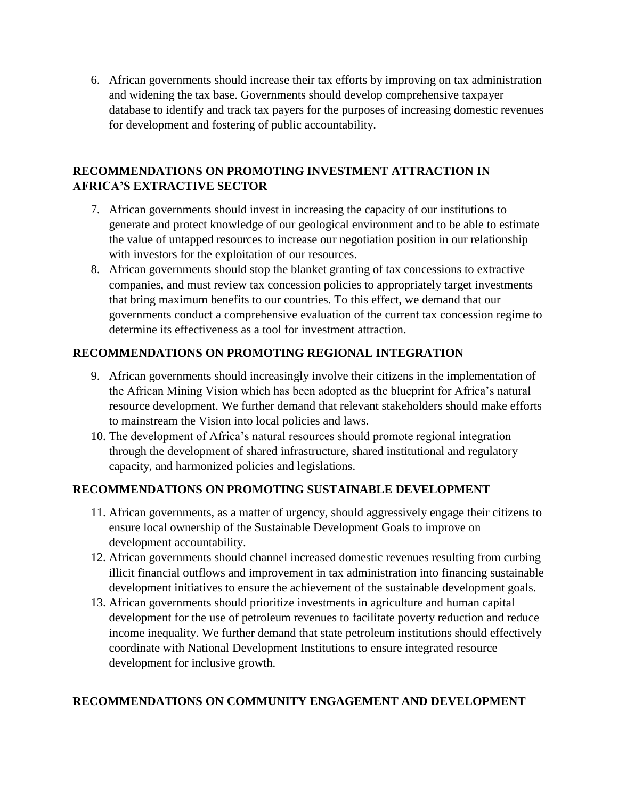6. African governments should increase their tax efforts by improving on tax administration and widening the tax base. Governments should develop comprehensive taxpayer database to identify and track tax payers for the purposes of increasing domestic revenues for development and fostering of public accountability.

#### **RECOMMENDATIONS ON PROMOTING INVESTMENT ATTRACTION IN AFRICA'S EXTRACTIVE SECTOR**

- 7. African governments should invest in increasing the capacity of our institutions to generate and protect knowledge of our geological environment and to be able to estimate the value of untapped resources to increase our negotiation position in our relationship with investors for the exploitation of our resources.
- 8. African governments should stop the blanket granting of tax concessions to extractive companies, and must review tax concession policies to appropriately target investments that bring maximum benefits to our countries. To this effect, we demand that our governments conduct a comprehensive evaluation of the current tax concession regime to determine its effectiveness as a tool for investment attraction.

## **RECOMMENDATIONS ON PROMOTING REGIONAL INTEGRATION**

- 9. African governments should increasingly involve their citizens in the implementation of the African Mining Vision which has been adopted as the blueprint for Africa's natural resource development. We further demand that relevant stakeholders should make efforts to mainstream the Vision into local policies and laws.
- 10. The development of Africa's natural resources should promote regional integration through the development of shared infrastructure, shared institutional and regulatory capacity, and harmonized policies and legislations.

# **RECOMMENDATIONS ON PROMOTING SUSTAINABLE DEVELOPMENT**

- 11. African governments, as a matter of urgency, should aggressively engage their citizens to ensure local ownership of the Sustainable Development Goals to improve on development accountability.
- 12. African governments should channel increased domestic revenues resulting from curbing illicit financial outflows and improvement in tax administration into financing sustainable development initiatives to ensure the achievement of the sustainable development goals.
- 13. African governments should prioritize investments in agriculture and human capital development for the use of petroleum revenues to facilitate poverty reduction and reduce income inequality. We further demand that state petroleum institutions should effectively coordinate with National Development Institutions to ensure integrated resource development for inclusive growth.

# **RECOMMENDATIONS ON COMMUNITY ENGAGEMENT AND DEVELOPMENT**